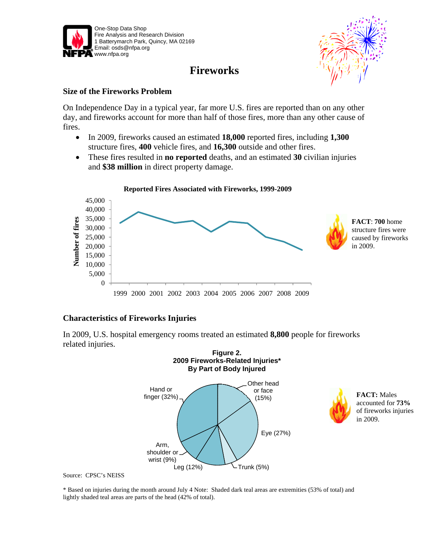

# **Fireworks**



#### **Size of the Fireworks Problem**

On Independence Day in a typical year, far more U.S. fires are reported than on any other day, and fireworks account for more than half of those fires, more than any other cause of fires.

- In 2009, fireworks caused an estimated **18,000** reported fires, including **1,300** structure fires, **400** vehicle fires, and **16,300** outside and other fires.
- These fires resulted in **no reported** deaths, and an estimated **30** civilian injuries and **\$38 million** in direct property damage.



## **Characteristics of Fireworks Injuries**

In 2009, U.S. hospital emergency rooms treated an estimated **8,800** people for fireworks related injuries.



accounted for **73%** of fireworks injuries in 2009.

Source: CPSC's NEISS

\* Based on injuries during the month around July 4 Note: Shaded dark teal areas are extremities (53% of total) and lightly shaded teal areas are parts of the head (42% of total).